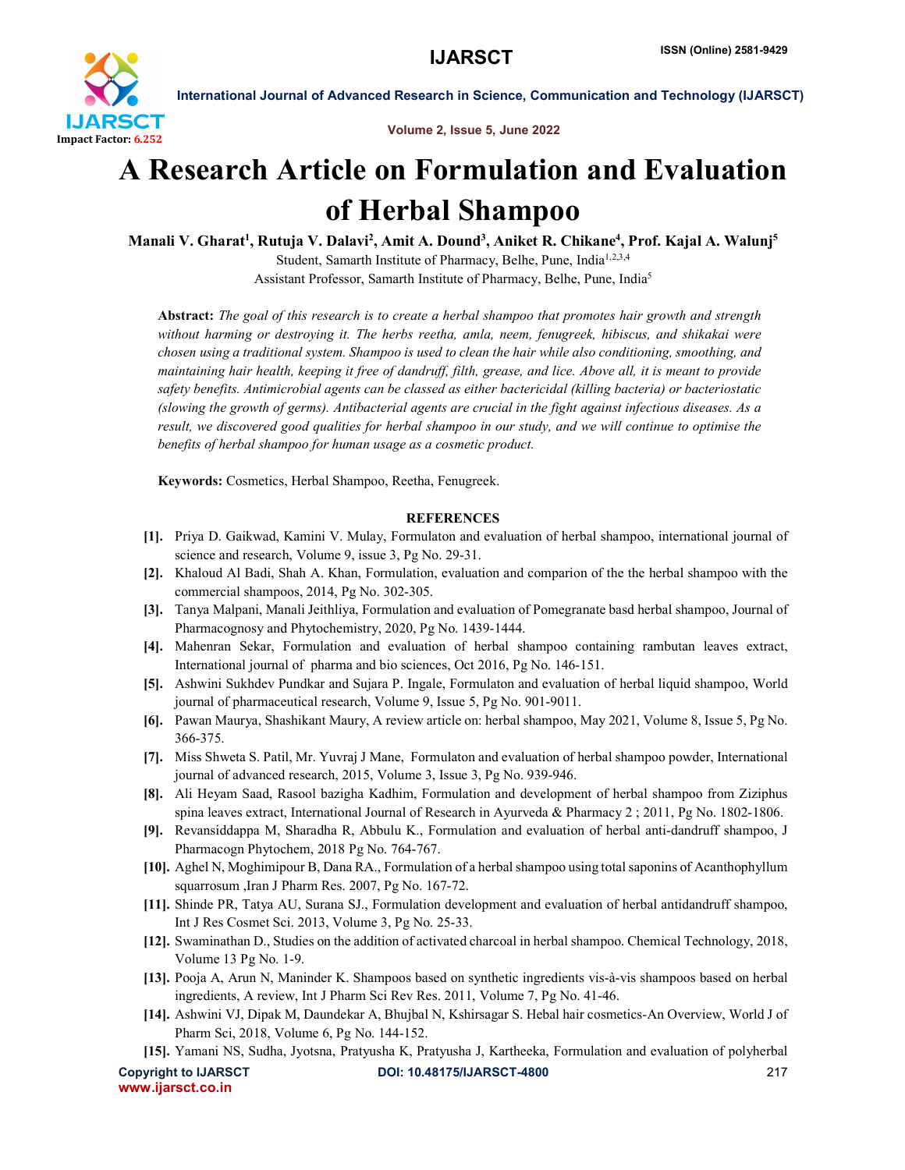

International Journal of Advanced Research in Science, Communication and Technology (IJARSCT)

Volume 2, Issue 5, June 2022

## A Research Article on Formulation and Evaluation of Herbal Shampoo

Manali V. Gharat<sup>1</sup>, Rutuja V. Dalavi<sup>2</sup>, Amit A. Dound<sup>3</sup>, Aniket R. Chikane<sup>4</sup>, Prof. Kajal A. Walunj<sup>5</sup> Student, Samarth Institute of Pharmacy, Belhe, Pune, India<sup>1,2,3,4</sup> Assistant Professor, Samarth Institute of Pharmacy, Belhe, Pune, India5

Abstract: *The goal of this research is to create a herbal shampoo that promotes hair growth and strength without harming or destroying it. The herbs reetha, amla, neem, fenugreek, hibiscus, and shikakai were chosen using a traditional system. Shampoo is used to clean the hair while also conditioning, smoothing, and maintaining hair health, keeping it free of dandruff, filth, grease, and lice. Above all, it is meant to provide safety benefits. Antimicrobial agents can be classed as either bactericidal (killing bacteria) or bacteriostatic (slowing the growth of germs). Antibacterial agents are crucial in the fight against infectious diseases. As a result, we discovered good qualities for herbal shampoo in our study, and we will continue to optimise the benefits of herbal shampoo for human usage as a cosmetic product.*

Keywords: Cosmetics, Herbal Shampoo, Reetha, Fenugreek.

## **REFERENCES**

- [1]. Priya D. Gaikwad, Kamini V. Mulay, Formulaton and evaluation of herbal shampoo, international journal of science and research, Volume 9, issue 3, Pg No. 29-31.
- [2]. Khaloud Al Badi, Shah A. Khan, Formulation, evaluation and comparion of the the herbal shampoo with the commercial shampoos, 2014, Pg No. 302-305.
- [3]. Tanya Malpani, Manali Jeithliya, Formulation and evaluation of Pomegranate basd herbal shampoo, Journal of Pharmacognosy and Phytochemistry, 2020, Pg No. 1439-1444.
- [4]. Mahenran Sekar, Formulation and evaluation of herbal shampoo containing rambutan leaves extract, International journal of pharma and bio sciences, Oct 2016, Pg No. 146-151.
- [5]. Ashwini Sukhdev Pundkar and Sujara P. Ingale, Formulaton and evaluation of herbal liquid shampoo, World journal of pharmaceutical research, Volume 9, Issue 5, Pg No. 901-9011.
- [6]. Pawan Maurya, Shashikant Maury, A review article on: herbal shampoo, May 2021, Volume 8, Issue 5, Pg No. 366-375.
- [7]. Miss Shweta S. Patil, Mr. Yuvraj J Mane, Formulaton and evaluation of herbal shampoo powder, International journal of advanced research, 2015, Volume 3, Issue 3, Pg No. 939-946.
- [8]. Ali Heyam Saad, Rasool bazigha Kadhim, Formulation and development of herbal shampoo from Ziziphus spina leaves extract, International Journal of Research in Ayurveda & Pharmacy 2 ; 2011, Pg No. 1802-1806.
- [9]. Revansiddappa M, Sharadha R, Abbulu K., Formulation and evaluation of herbal anti-dandruff shampoo, J Pharmacogn Phytochem, 2018 Pg No. 764-767.
- [10]. Aghel N, Moghimipour B, Dana RA., Formulation of a herbal shampoo using total saponins of Acanthophyllum squarrosum ,Iran J Pharm Res. 2007, Pg No. 167-72.
- [11]. Shinde PR, Tatya AU, Surana SJ., Formulation development and evaluation of herbal antidandruff shampoo, Int J Res Cosmet Sci. 2013, Volume 3, Pg No. 25-33.
- [12]. Swaminathan D., Studies on the addition of activated charcoal in herbal shampoo. Chemical Technology, 2018, Volume 13 Pg No. 1-9.
- [13]. Pooja A, Arun N, Maninder K. Shampoos based on synthetic ingredients vis-à-vis shampoos based on herbal ingredients, A review, Int J Pharm Sci Rev Res. 2011, Volume 7, Pg No. 41-46.
- [14]. Ashwini VJ, Dipak M, Daundekar A, Bhujbal N, Kshirsagar S. Hebal hair cosmetics-An Overview, World J of Pharm Sci, 2018, Volume 6, Pg No. 144-152.
- [15]. Yamani NS, Sudha, Jyotsna, Pratyusha K, Pratyusha J, Kartheeka, Formulation and evaluation of polyherbal

www.ijarsct.co.in